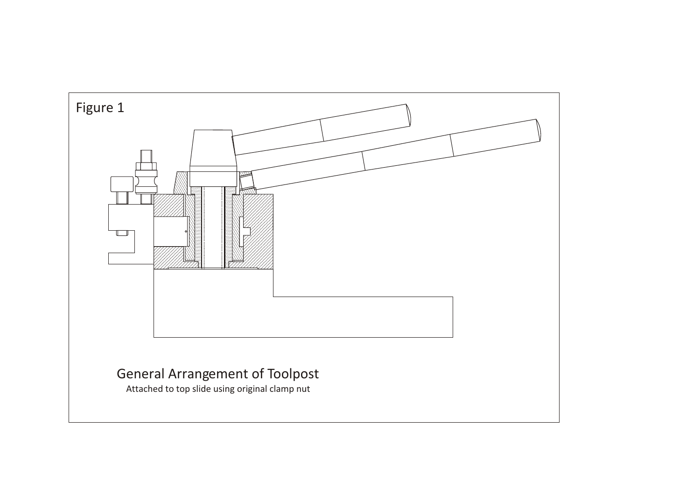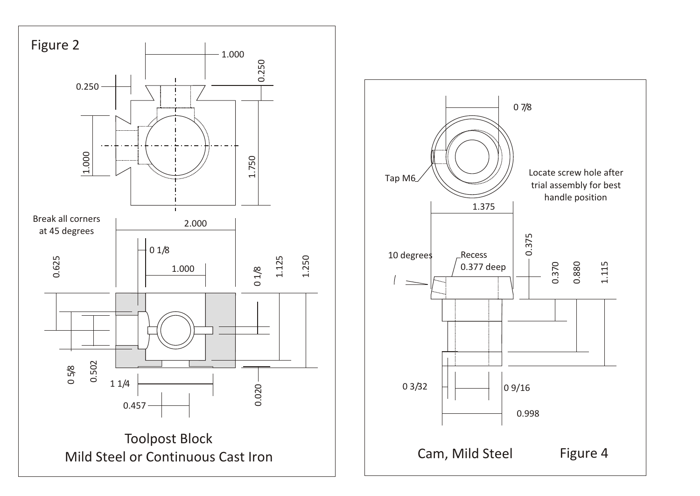

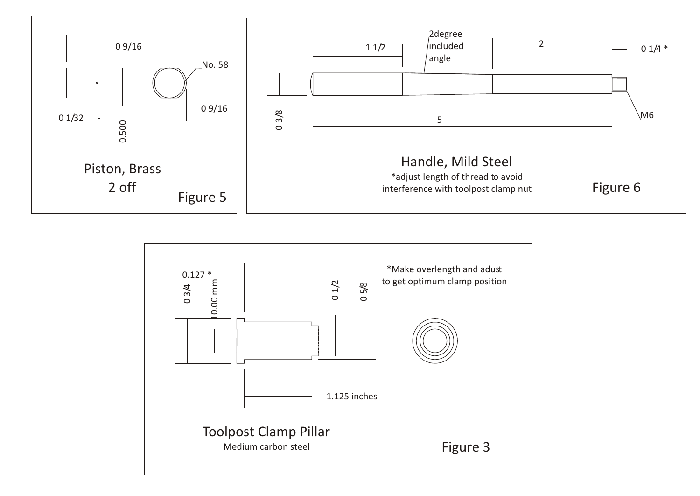

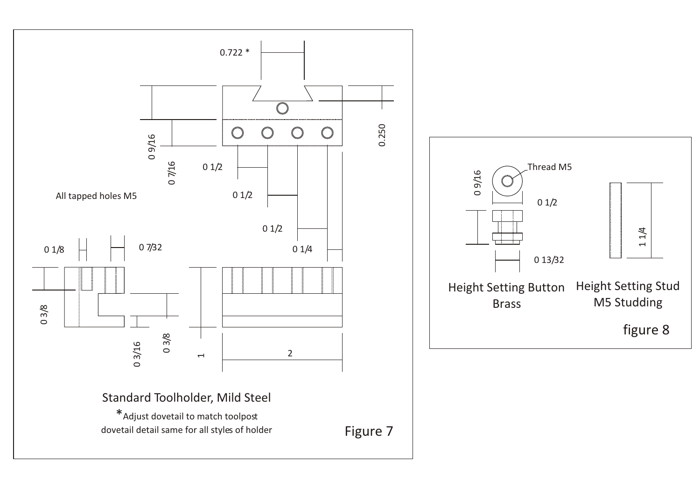

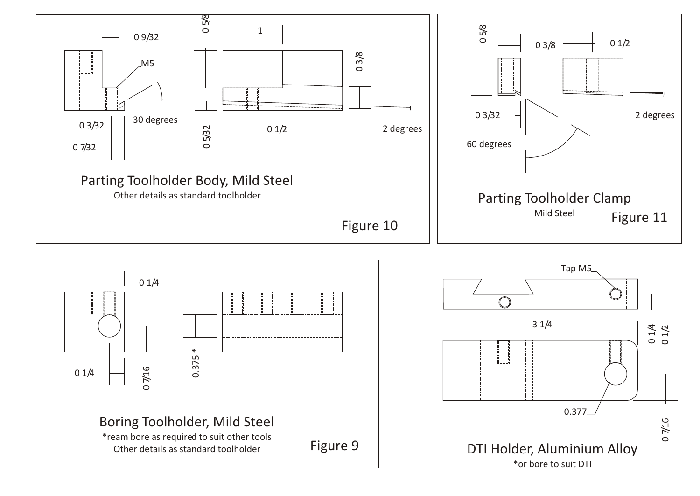